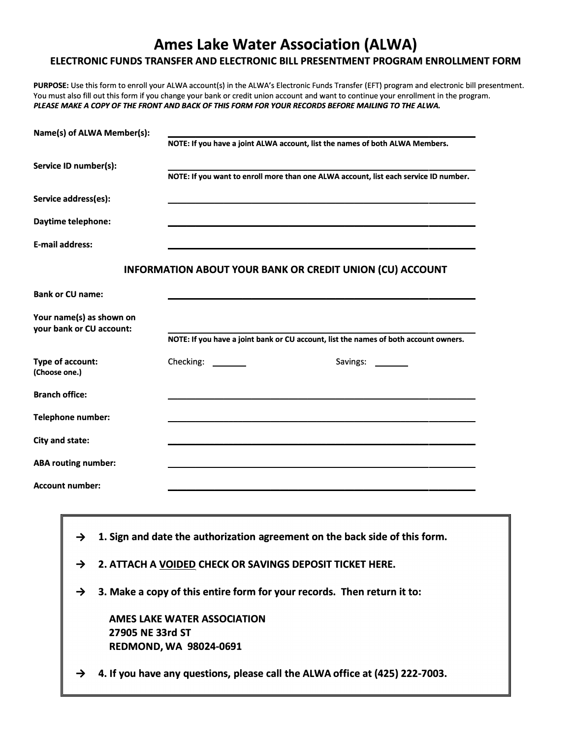# **Ames Lake Water Association (ALWA) ELECTRONIC FUNDS TRANSFER AND ELECTRONIC BILL PRESENTMENT PROGRAM ENROLLMENT FORM**

PURPOSE: Use this form to enroll your ALWA account(s) in the ALWA's Electronic Funds Transfer (EFT) program and electronic bill presentment. **You must also fill out this form if you change your bank or credit union account and want to continue your enrollment in the program.**  *PLEASE MAKE A COPY OF THE FRONT AND BACK OF THIS FORM FOR YOUR RECORDS BEFORE MAILING TO THE ALWA.* 

|                                                               |                                                                                                                                                                                                                                                                       | Name(s) of ALWA Member(s):                           |                                                                                      |  |  |  |
|---------------------------------------------------------------|-----------------------------------------------------------------------------------------------------------------------------------------------------------------------------------------------------------------------------------------------------------------------|------------------------------------------------------|--------------------------------------------------------------------------------------|--|--|--|
|                                                               |                                                                                                                                                                                                                                                                       |                                                      | NOTE: If you have a joint ALWA account, list the names of both ALWA Members.         |  |  |  |
| Service ID number(s):                                         |                                                                                                                                                                                                                                                                       |                                                      | NOTE: If you want to enroll more than one ALWA account, list each service ID number. |  |  |  |
|                                                               | Service address(es):                                                                                                                                                                                                                                                  |                                                      |                                                                                      |  |  |  |
| Daytime telephone:                                            |                                                                                                                                                                                                                                                                       |                                                      |                                                                                      |  |  |  |
| <b>E-mail address:</b>                                        |                                                                                                                                                                                                                                                                       |                                                      |                                                                                      |  |  |  |
|                                                               |                                                                                                                                                                                                                                                                       |                                                      | <b>INFORMATION ABOUT YOUR BANK OR CREDIT UNION (CU) ACCOUNT</b>                      |  |  |  |
|                                                               | <b>Bank or CU name:</b>                                                                                                                                                                                                                                               |                                                      |                                                                                      |  |  |  |
|                                                               |                                                                                                                                                                                                                                                                       | Your name(s) as shown on<br>your bank or CU account: |                                                                                      |  |  |  |
|                                                               |                                                                                                                                                                                                                                                                       |                                                      | NOTE: If you have a joint bank or CU account, list the names of both account owners. |  |  |  |
| Type of account:<br>(Choose one.)                             |                                                                                                                                                                                                                                                                       |                                                      | Checking: ________<br>Savings: _______                                               |  |  |  |
| <b>Branch office:</b><br>Telephone number:<br>City and state: |                                                                                                                                                                                                                                                                       |                                                      |                                                                                      |  |  |  |
|                                                               |                                                                                                                                                                                                                                                                       |                                                      |                                                                                      |  |  |  |
|                                                               |                                                                                                                                                                                                                                                                       |                                                      |                                                                                      |  |  |  |
|                                                               | <b>ABA routing number:</b>                                                                                                                                                                                                                                            |                                                      |                                                                                      |  |  |  |
|                                                               | Account number:                                                                                                                                                                                                                                                       |                                                      |                                                                                      |  |  |  |
|                                                               |                                                                                                                                                                                                                                                                       |                                                      |                                                                                      |  |  |  |
|                                                               | 1. Sign and date the authorization agreement on the back side of this form.<br>$\rightarrow$<br>2. ATTACH A VOIDED CHECK OR SAVINGS DEPOSIT TICKET HERE.<br>$\rightarrow$<br>3. Make a copy of this entire form for your records. Then return it to:<br>$\rightarrow$ |                                                      |                                                                                      |  |  |  |
|                                                               |                                                                                                                                                                                                                                                                       |                                                      |                                                                                      |  |  |  |
|                                                               |                                                                                                                                                                                                                                                                       |                                                      |                                                                                      |  |  |  |
|                                                               |                                                                                                                                                                                                                                                                       | 27905 NE 33rd ST                                     | <b>AMES LAKE WATER ASSOCIATION</b><br><b>REDMOND, WA 98024-0691</b>                  |  |  |  |
|                                                               | $\rightarrow$                                                                                                                                                                                                                                                         |                                                      | 4. If you have any questions, please call the ALWA office at (425) 222-7003.         |  |  |  |